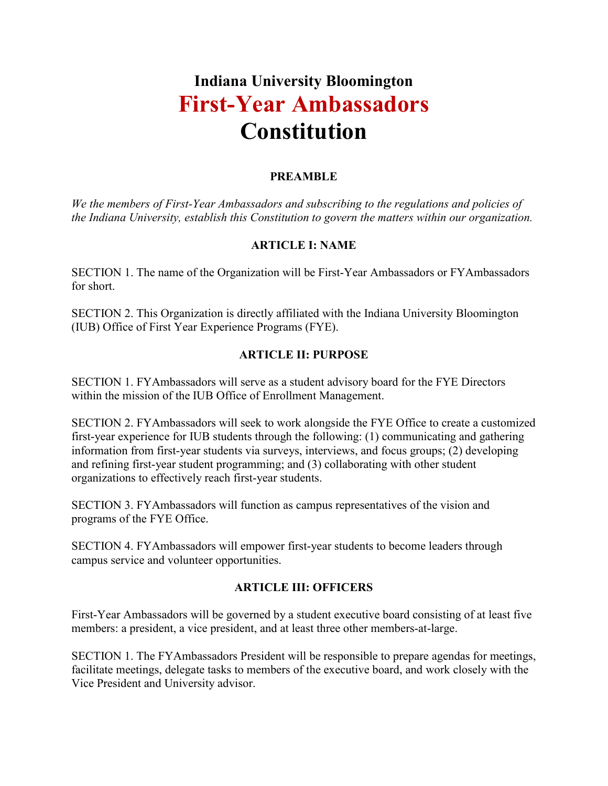# **Indiana University Bloomington First-Year Ambassadors Constitution**

### **PREAMBLE**

*We the members of First-Year Ambassadors and subscribing to the regulations and policies of the Indiana University, establish this Constitution to govern the matters within our organization.* 

## **ARTICLE I: NAME**

SECTION 1. The name of the Organization will be First-Year Ambassadors or FYAmbassadors for short.

SECTION 2. This Organization is directly affiliated with the Indiana University Bloomington (IUB) Office of First Year Experience Programs (FYE).

## **ARTICLE II: PURPOSE**

SECTION 1. FYAmbassadors will serve as a student advisory board for the FYE Directors within the mission of the IUB Office of Enrollment Management.

SECTION 2. FYAmbassadors will seek to work alongside the FYE Office to create a customized first-year experience for IUB students through the following: (1) communicating and gathering information from first-year students via surveys, interviews, and focus groups; (2) developing and refining first-year student programming; and (3) collaborating with other student organizations to effectively reach first-year students.

SECTION 3. FYAmbassadors will function as campus representatives of the vision and programs of the FYE Office.

SECTION 4. FYAmbassadors will empower first-year students to become leaders through campus service and volunteer opportunities.

#### **ARTICLE III: OFFICERS**

First-Year Ambassadors will be governed by a student executive board consisting of at least five members: a president, a vice president, and at least three other members-at-large.

SECTION 1. The FYAmbassadors President will be responsible to prepare agendas for meetings, facilitate meetings, delegate tasks to members of the executive board, and work closely with the Vice President and University advisor.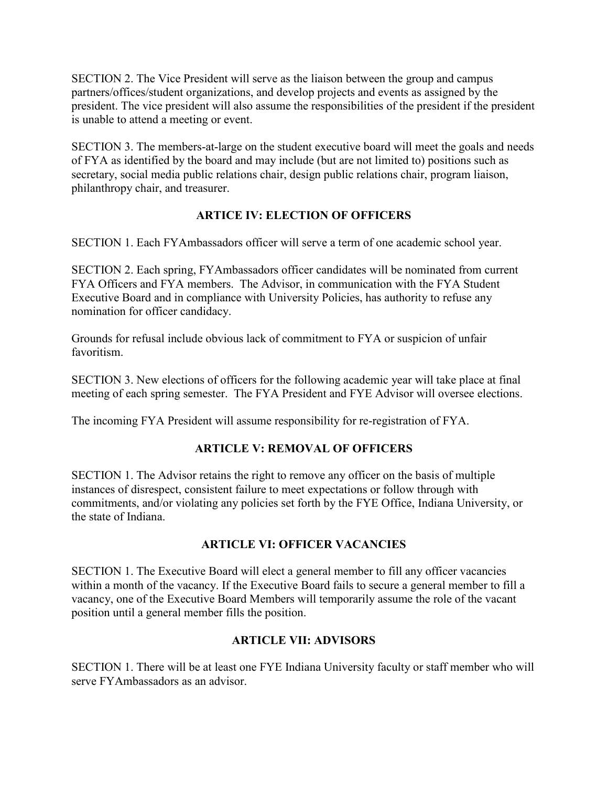SECTION 2. The Vice President will serve as the liaison between the group and campus partners/offices/student organizations, and develop projects and events as assigned by the president. The vice president will also assume the responsibilities of the president if the president is unable to attend a meeting or event.

SECTION 3. The members-at-large on the student executive board will meet the goals and needs of FYA as identified by the board and may include (but are not limited to) positions such as secretary, social media public relations chair, design public relations chair, program liaison, philanthropy chair, and treasurer.

## **ARTICE IV: ELECTION OF OFFICERS**

SECTION 1. Each FYAmbassadors officer will serve a term of one academic school year.

SECTION 2. Each spring, FYAmbassadors officer candidates will be nominated from current FYA Officers and FYA members. The Advisor, in communication with the FYA Student Executive Board and in compliance with University Policies, has authority to refuse any nomination for officer candidacy.

Grounds for refusal include obvious lack of commitment to FYA or suspicion of unfair favoritism.

SECTION 3. New elections of officers for the following academic year will take place at final meeting of each spring semester. The FYA President and FYE Advisor will oversee elections.

The incoming FYA President will assume responsibility for re-registration of FYA.

#### **ARTICLE V: REMOVAL OF OFFICERS**

SECTION 1. The Advisor retains the right to remove any officer on the basis of multiple instances of disrespect, consistent failure to meet expectations or follow through with commitments, and/or violating any policies set forth by the FYE Office, Indiana University, or the state of Indiana.

#### **ARTICLE VI: OFFICER VACANCIES**

SECTION 1. The Executive Board will elect a general member to fill any officer vacancies within a month of the vacancy. If the Executive Board fails to secure a general member to fill a vacancy, one of the Executive Board Members will temporarily assume the role of the vacant position until a general member fills the position.

#### **ARTICLE VII: ADVISORS**

SECTION 1. There will be at least one FYE Indiana University faculty or staff member who will serve FYAmbassadors as an advisor.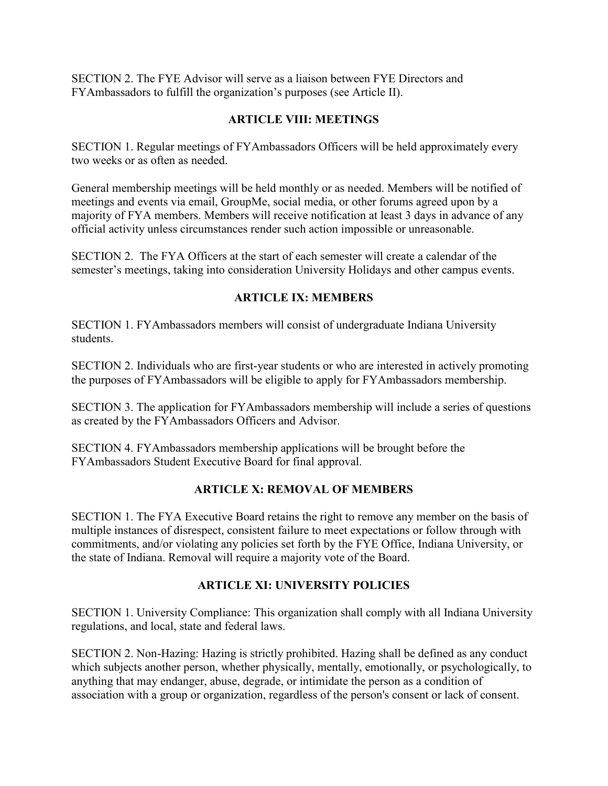SECTION 2. The FYE Advisor will serve as a liaison between FYE Directors and FYAmbassadors to fulfill the organization's purposes (see Article II).

#### **ARTICLE VIII: MEETINGS**

SECTION 1. Regular meetings of FYAmbassadors Officers will be held approximately every two weeks or as often as needed.

General membership meetings will be held monthly or as needed. Members will be notified of meetings and events via email, GroupMe, social media, or other forums agreed upon by a majority of FYA members. Members will receive notification at least 3 days in advance of any official activity unless circumstances render such action impossible or unreasonable.

SECTION 2. The FYA Officers at the start of each semester will create a calendar of the semester's meetings, taking into consideration University Holidays and other campus events.

#### **ARTICLE IX: MEMBERS**

SECTION 1. FYAmbassadors members will consist of undergraduate Indiana University students.

SECTION 2. Individuals who are first-year students or who are interested in actively promoting the purposes of FYAmbassadors will be eligible to apply for FYAmbassadors membership.

SECTION 3. The application for FYAmbassadors membership will include a series of questions as created by the FYAmbassadors Officers and Advisor.

SECTION 4. FYAmbassadors membership applications will be brought before the FYAmbassadors Student Executive Board for final approval.

#### **ARTICLE X: REMOVAL OF MEMBERS**

SECTION 1. The FYA Executive Board retains the right to remove any member on the basis of multiple instances of disrespect, consistent failure to meet expectations or follow through with commitments, and/or violating any policies set forth by the FYE Office, Indiana University, or the state of Indiana. Removal will require a majority vote of the Board.

#### **ARTICLE XI: UNIVERSITY POLICIES**

SECTION 1. University Compliance: This organization shall comply with all Indiana University regulations, and local, state and federal laws.

SECTION 2. Non-Hazing: Hazing is strictly prohibited. Hazing shall be defined as any conduct which subjects another person, whether physically, mentally, emotionally, or psychologically, to anything that may endanger, abuse, degrade, or intimidate the person as a condition of association with a group or organization, regardless of the person's consent or lack of consent.